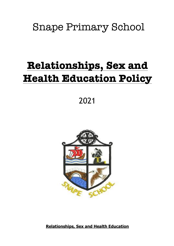## Snape Primary School

# **Relationships, Sex and Health Education Policy**

2021



**Relationships, Sex and Health Education**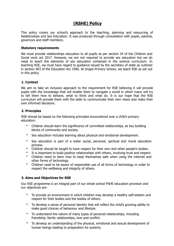### **(RSHE) Policy**

This policy covers our school's approach to the teaching, planning and resourcing of Relationships and Sex Education. It was produced through consultation with pupils, parents, governors and staff members.

#### **Statutory requirements**

We must provide relationships education to all pupils as per section 34 of the Children and Social work act 2017. However, we are not required to provide sex education but we do need to teach the elements of sex education contained in the science curriculum. In teaching RSE, we must have regard to guidance issued by the secretary of state as outlined in section 403 of the Education Act 1996. At Snape Primary School, we teach RSE as set out in this policy.

#### **1. Context**

We aim to take an inclusive approach to the requirement for RSE believing it will provide pupils with the knowledge that will enable them to navigate a world in which many will try to tell them how to behave, what to think and what do. It is our hope that the RSE curriculum will provide them with the skills to communicate their own views and make their own informed decisions.

#### **2. Principles**

RSE should be based on the following principles encountered over a child's primary education:

- Children should learn the significance of committed relationships, as key building blocks of community and society.
- Sex education includes learning about physical and emotional development.
- Sex education is part of a wider social, personal, spiritual and moral education process.
- Children should be taught to have respect for their own and other people's bodies.
- It is important to build positive relationships with others, involving trust and respect.
- Children need to learn how to keep themselves safe when using the internet and other forms of technology.
- Children need to be aware of responsible use of all forms of technology in order to respect the wellbeing and integrity of others.

#### **3. Aims and Objectives for RSE**

Our RSE programme is an integral part of our whole school PSHE education provision and our objectives are-

- To provide an environment in which children may develop a healthy self-esteem and respect for their bodies and the bodies of others.
- To develop a sense of personal identity that will reflect the child's growing ability to make good choices of behaviour and lifestyle.
- To understand the nature of many types of personal relationships, including friendship, family relationships, love and conflict.
- To develop an understanding of the physical, emotional and sexual development of human beings leading to preparation for puberty.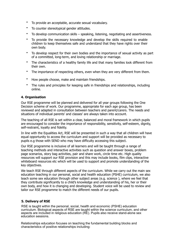- To provide an acceptable, accurate sexual vocabulary.
- To counter stereotypical gender attitudes.
- To develop communication skills speaking, listening, negotiating and assertiveness.
- To provide the necessary knowledge and develop the skills required to enable children to keep themselves safe and understand that they have rights over their own body.
- To develop respect for their own bodies and the importance of sexual activity as part of a committed, long-term, and loving relationship or marriage.
- The characteristics of a healthy family life and that many families look different from their own.
- The importance of respecting others, even when they are very different from them.
- How people choose, make and maintain friendships.
- The rules and principles for keeping safe in friendships and relationships, including online.

#### **4. Organisation**

Our RSE programme will be planned and delivered for all year groups following the One Decision scheme of work. Our programme, appropriate for each age group, has been reviewed and adapted in consultation between teachers and parent/carers. The needs and situations of individual parents' and classes' are always taken into account.

The teaching of all RSE is set within a clear, balanced and moral framework in which pupils are encouraged to consider the importance of responsibility, sensitivity, self-esteem, dignity, self-restraint, loyalty and fidelity.

In line with the Equalities Act, RSE will be presented in such a way that all children will have equal opportunity to access the curriculum and support will be provided as necessary to pupils e.g those with SEND who may have difficulty accessing this subject.

Our RSE programme is inclusive of all learners and will be taught through a range of teaching methods and interactive activities such as question and answer boxes, problem page scenarios, story bag activities, pair and share work, circle time etc. High quality resources will support our RSE provision and this may include books, film clips, interactive whiteboard resources etc which will be used to support and promote understanding of the key objectives.

We teach RSE through different aspects of the curriculum. While we carry out the main sex education teaching in our personal, social and health education (PSHE) curriculum, we also teach some sex education through other subject areas (e.g. science ), where we feel that they contribute significantly to a child's knowledge and understanding of his, her or their own body, and how it is changing and developing. Student voice will be used to review and tailor our RSE programme to match the different needs of our pupils.

#### **5. Delivery of RSE**

RSE is taught within the personal, social, health and economic (PSHE) education curriculum. Biological aspects of RSE are taught within the science curriculum, and other aspects are included in religious education (RE). Pupils also receive stand-alone sex education sessions.

Relationships education focuses on teaching the fundamental building blocks and characteristics of positive relationships including: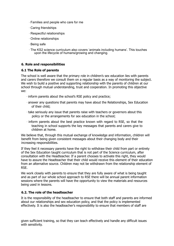- · Families and people who care for me
- · Caring friendships
- · Respectful relationships
- · Online relationships
- · Being safe
- · The KS2 science curriculum also covers 'animals including humans'. This touches upon the lifecycle of humans/growing and changing.

#### **6. Role and responsibilities**

#### **6.1 The Role of parents**

The school is well aware that the primary role in children's sex education lies with parents and carers therefore we consult them on a regular basis as a way of monitoring the subject. We wish to build a positive and supporting relationship with the parents of children at our school through mutual understanding, trust and cooperation. In promoting this objective we:

- · inform parents about the school's RSE policy and practice;
- · answer any questions that parents may have about the Relationships, Sex Education of their child;
- · take seriously any issue that parents raise with teachers or governors about this policy or the arrangements for sex education in the school;
- · inform parents about the best practice known with regard to RSE, so that the teaching in school supports the key messages that parents and carers give to children at home.

We believe that, through this mutual exchange of knowledge and information, children will benefit from being given consistent messages about their changing body and their increasing responsibilities.

If they feel it necessary parents have the right to withdraw their child from part or entirety of the Sex Education taught curriculum that is not part of the Science curriculum, after consultation with the Headteacher. If a parent chooses to activate this right, they would have to assure the Headteacher that their child would receive this element of their education from an alternative source. Children may not be withdrawn from the relationship element of RSE.

We work closely with parents to ensure that they are fully aware of what is being taught and as part of our whole school approach to RSE there will be annual parent information sessions where the parents will have the opportunity to view the materials and resources being used in lessons.

#### **6.2. The role of the headteacher**

It is the responsibility of the headteacher to ensure that both staff and parents are informed about our relationships and sex education policy, and that the policy is implemented effectively. It is also the headteacher's responsibility to ensure that members of staff are

given sufficient training, so that they can teach effectively and handle any difficult issues with sensitivity.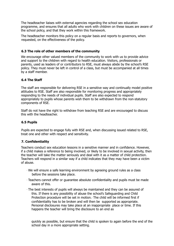The headteacher liaises with external agencies regarding the school sex education programme, and ensures that all adults who work with children on these issues are aware of the school policy, and that they work within this framework.

The headteacher monitors this policy on a regular basis and reports to governors, when requested, on the effectiveness of the policy.

#### **6.3 The role of other members of the community**

We encourage other valued members of the community to work with us to provide advice and support to the children with regard to health education. Visitors, professionals or parents, used as leaders of or contributors to RSE, must always abide by the school's RSE policy. They must never be left in control of a class, but must be accompanied at all times by a staff member.

#### **6.4 The Staff**

The staff are responsible for delivering RSE in a sensitive way and continually model positive attitudes to RSE. Staff are also responsible for monitoring progress and appropriately responding to the needs of individual pupils. Staff are also expected to respond appropriately to pupils whose parents wish them to be withdrawn from the non-statutory components of RSE.

Staff do not have the right to withdraw from teaching RSE and are encouraged to discuss this with the headteacher.

#### **6.5 Pupils**

Pupils are expected to engage fully with RSE and, when discussing issued related to RSE, treat one and other with respect and sensitivity.

#### **7. Confidentiality**

Teachers conduct sex education lessons in a sensitive manner and in confidence. However, if a child makes a reference to being involved, or likely to be involved in sexual activity, then the teacher will take the matter seriously and deal with it as a matter of child protection. Teachers will respond in a similar way if a child indicates that they may have been a victim of abuse.

- · We will ensure a safe learning environment by agreeing ground rules as a class before the sessions take place.
- · Teachers cannot offer or guarantee absolute confidentiality and pupils must be made aware of this.
- · The best interests of pupils will always be maintained and they can be assured of this. If there is any possibility of abuse the school's Safeguarding and Child Protection procedure will be set in motion.· The child will be informed first if confidentiality has to be broken and will then be supported as appropriate. Personal disclosures may take place at an inappropriate place or time. If this happens the teacher will bring the disclosure to an end as

quickly as possible, but ensure that the child is spoken to again before the end of the school day in a more appropriate setting.